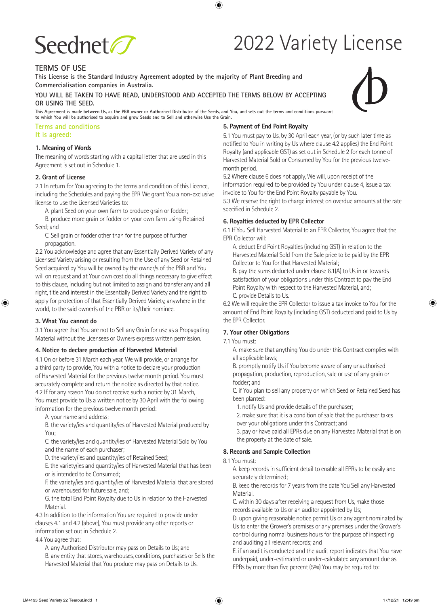

# 2022 Variety License

# **TERMS OF USE**

**This License is the Standard Industry Agreement adopted by the majority of Plant Breeding and Commercialisation companies in Australia.**

**YOU WILL BE TAKEN TO HAVE READ, UNDERSTOOD AND ACCEPTED THE TERMS BELOW BY ACCEPTING OR USING THE SEED.**

**This Agreement is made between Us, as the PBR owner or Authorised Distributor of the Seeds, and You, and sets out the terms and conditions pursuant to which You will be authorised to acquire and grow Seeds and to Sell and otherwise Use the Grain.**

#### **Terms and conditions It is agreed:**

#### **1. Meaning of Words**

The meaning of words starting with a capital letter that are used in this Agreement is set out in Schedule 1.

#### **2. Grant of License**

2.1 In return for You agreeing to the terms and condition of this Licence, including the Schedules and paying the EPR We grant You a non-exclusive license to use the Licensed Varieties to:

A. plant Seed on your own farm to produce grain or fodder;

B. produce more grain or fodder on your own farm using Retained Seed; and

 C. Sell grain or fodder other than for the purpose of further propagation.

2.2 You acknowledge and agree that any Essentially Derived Variety of any Licensed Variety arising or resulting from the Use of any Seed or Retained Seed acquired by You will be owned by the owner/s of the PBR and You will on request and at Your own cost do all things necessary to give effect to this clause, including but not limited to assign and transfer any and all right, title and interest in the Essentially Derived Variety and the right to apply for protection of that Essentially Derived Variety, anywhere in the world, to the said owner/s of the PBR or its/their nominee.

#### **3. What You cannot do**

3.1 You agree that You are not to Sell any Grain for use as a Propagating Material without the Licensees or Owners express written permission.

#### **4. Notice to declare production of Harvested Material**

4.1 On or before 31 March each year, We will provide, or arrange for a third party to provide, You with a notice to declare your production of Harvested Material for the previous twelve month period. You must accurately complete and return the notice as directed by that notice. 4.2 If for any reason You do not receive such a notice by 31 March, You must provide to Us a written notice by 30 April with the following information for the previous twelve month period:

A. your name and address;

 B. the variety/ies and quantity/ies of Harvested Material produced by You;

 C. the variety/ies and quantity/ies of Harvested Material Sold by You and the name of each purchaser;

D. the variety/ies and quantity/ies of Retained Seed;

 E. the variety/ies and quantity/ies of Harvested Material that has been or is intended to be Consumed;

 F. the variety/ies and quantity/ies of Harvested Material that are stored or warehoused for future sale, and;

 G. the total End Point Royalty due to Us in relation to the Harvested Material.

4.3 In addition to the information You are required to provide under clauses 4.1 and 4.2 (above), You must provide any other reports or information set out in Schedule 2.

4.4 You agree that:

A. any Authorised Distributor may pass on Details to Us; and B. any entity that stores, warehouses, conditions, purchases or Sells the Harvested Material that You produce may pass on Details to Us.

# **5. Payment of End Point Royalty**

5.1 You must pay to Us, by 30 April each year, (or by such later time as notified to You in writing by Us where clause 4.2 applies) the End Point Royalty (and applicable GST) as set out in Schedule 2 for each tonne of Harvested Material Sold or Consumed by You for the previous twelvemonth period.

5.2 Where clause 6 does not apply, We will, upon receipt of the information required to be provided by You under clause 4, issue a tax invoice to You for the End Point Royalty payable by You.

5.3 We reserve the right to charge interest on overdue amounts at the rate specified in Schedule 2.

#### **6. Royalties deducted by EPR Collector**

6.1 If You Sell Harvested Material to an EPR Collector, You agree that the EPR Collector will:

 A. deduct End Point Royalties (including GST) in relation to the Harvested Material Sold from the Sale price to be paid by the EPR Collector to You for that Harvested Material;

 B. pay the sums deducted under clause 6.1(A) to Us in or towards satisfaction of your obligations under this Contract to pay the End Point Royalty with respect to the Harvested Material, and; C. provide Details to Us.

6.2 We will require the EPR Collector to issue a tax invoice to You for the amount of End Point Royalty (including GST) deducted and paid to Us by the EPR Collector.

#### **7. Your other Obligations**

#### 7.1 You must:

 A. make sure that anything You do under this Contract complies with all applicable laws;

 B. promptly notify Us if You become aware of any unauthorised propagation, production, reproduction, sale or use of any grain or fodder; and

 C. if You plan to sell any property on which Seed or Retained Seed has been planted:

1. notify Us and provide details of the purchaser;

 2. make sure that it is a condition of sale that the purchaser takes over your obligations under this Contract; and

 3. pay or have paid all EPRs due on any Harvested Material that is on the property at the date of sale.

#### **8. Records and Sample Collection**

8.1 You must:

 A. keep records in sufficient detail to enable all EPRs to be easily and accurately determined;

 B. keep the records for 7 years from the date You Sell any Harvested Material.

 C. within 30 days after receiving a request from Us, make those records available to Us or an auditor appointed by Us;

 D. upon giving reasonable notice permit Us or any agent nominated by Us to enter the Grower's premises or any premises under the Grower's control during normal business hours for the purpose of inspecting and auditing all relevant records; and

 E. if an audit is conducted and the audit report indicates that You have underpaid, under-estimated or under-calculated any amount due as EPRs by more than five percent (5%) You may be required to:

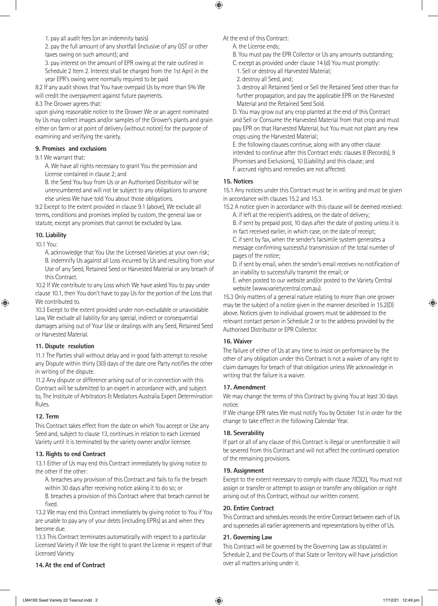1. pay all audit fees (on an indemnity basis)

 2. pay the full amount of any shortfall (inclusive of any GST or other taxes owing on such amount); and

 3. pay interest on the amount of EPR owing at the rate outlined in Schedule 2 Item 2. Interest shall be charged from the 1st April in the year EPR's owing were normally required to be paid

8.2 If any audit shows that You have overpaid Us by more than 5% We will credit the overpayment against future payments.

8.3 The Grower agrees that:

upon giving reasonable notice to the Grower We or an agent nominated by Us may collect images and/or samples of the Grower's plants and grain either on farm or at point of delivery (without notice) for the purpose of examining and verifying the variety.

#### **9. Promises and exclusions**

9.1 We warrant that:

 A. We have all rights necessary to grant You the permission and License contained in clause 2; and

 B. the Seed You buy from Us or an Authorised Distributor will be unencumbered and will not be subject to any obligations to anyone else unless We have told You about those obligations.

9.2 Except to the extent provided in clause 9.1 (above), We exclude all terms, conditions and promises implied by custom, the general law or statute, except any promises that cannot be excluded by Law.

**10. Liability**

10.1 You:

 A. acknowledge that You Use the Licensed Varieties at your own risk; B. indemnify Us against all Loss incurred by Us and resulting from your Use of any Seed, Retained Seed or Harvested Material or any breach of this Contract.

10.2 If We contribute to any Loss which We have asked You to pay under clause 10.1, then You don't have to pay Us for the portion of the Loss that We contributed to.

10.3 Except to the extent provided under non-excludable or unavoidable Law, We exclude all liability for any special, indirect or consequential damages arising out of Your Use or dealings with any Seed, Retained Seed or Harvested Material.

#### **11. Dispute resolution**

11.1 The Parties shall without delay and in good faith attempt to resolve any Dispute within thirty (30) days of the date one Party notifies the other in writing of the dispute.

11.2 Any dispute or difference arising out of or in connection with this Contract will be submitted to an expert in accordance with, and subject to, The Institute of Arbitrators & Mediators Australia Expert Determination Rules.

# **12. Term**

This Contract takes effect from the date on which You accept or Use any Seed and, subject to clause 13, continues in relation to each Licensed Variety until it is terminated by the variety owner and/or licensee.

#### **13. Rights to end Contract**

13.1 Either of Us may end this Contract immediately by giving notice to the other if the other:

 A. breaches any provision of this Contract and fails to fix the breach within 30 days after receiving notice asking it to do so; or

 B. breaches a provision of this Contract where that breach cannot be fixed.

13.2 We may end this Contract immediately by giving notice to You if You are unable to pay any of your debts (including EPRs) as and when they become due.

13.3 This Contract terminates automatically with respect to a particular Licensed Variety if We lose the right to grant the License in respect of that Licensed Variety.

#### **14.At the end of Contract**

At the end of this Contract:

- A. the License ends;
- B. You must pay the EPR Collector or Us any amounts outstanding;
- C. except as provided under clause 14 (d) You must promptly:
- 1. Sell or destroy all Harvested Material;
- 2. destroy all Seed, and;

 3. destroy all Retained Seed or Sell the Retained Seed other than for further propagation, and pay the applicable EPR on the Harvested Material and the Retained Seed Sold.

 D. You may grow out any crop planted at the end of this Contract and Sell or Consume the Harvested Material from that crop and must pay EPR on that Harvested Material, but You must not plant any new crops using the Harvested Material;

 E. the following clauses continue, along with any other clause intended to continue after this Contract ends: clauses 8 (Records), 9 (Promises and Exclusions), 10 (Liability) and this clause; and F. accrued rights and remedies are not affected.

# **15. Notices**

15.1 Any notices under this Contract must be in writing and must be given in accordance with clauses 15.2 and 15.3.

15.2 A notice given in accordance with this clause will be deemed received: A. if left at the recipient's address, on the date of delivery;

 B. if sent by prepaid post, 10 days after the date of posting unless it is in fact received earlier, in which case, on the date of receipt;

 C. if sent by fax, when the sender's facsimile system generates a message confirming successful transmission of the total number of pages of the notice;

 D. if sent by email, when the sender's email receives no notification of an inability to successfully transmit the email; or

 E. when posted to our website and/or posted to the Variety Central website (www.varietycentral.com.au).

15.3 Only matters of a general nature relating to more than one grower may be the subject of a notice given in the manner described in 15.2(D) above. Notices given to individual growers must be addressed to the relevant contact person in Schedule 2 or to the address provided by the Authorised Distributor or EPR Collector.

#### **16. Waiver**

The failure of either of Us at any time to insist on performance by the other of any obligation under this Contract is not a waiver of any right to claim damages for breach of that obligation unless We acknowledge in writing that the failure is a waiver.

# **17. Amendment**

We may change the terms of this Contract by giving You at least 30 days notice.

If We change EPR rates We must notify You by October 1st in order for the change to take effect in the following Calendar Year.

# **18. Severability**

If part or all of any clause of this Contract is illegal or unenforceable it will be severed from this Contract and will not affect the continued operation of the remaining provisions.

# **19. Assignment**

Except to the extent necessary to comply with clause 7(C)(2), You must not assign or transfer or attempt to assign or transfer any obligation or right arising out of this Contract, without our written consent.

# **20. Entire Contract**

This Contract and schedules records the entire Contract between each of Us and supersedes all earlier agreements and representations by either of Us.

#### **21. Governing Law**

This Contract will be governed by the Governing Law as stipulated in Schedule 2, and the Courts of that State or Territory will have jurisdiction over all matters arising under it.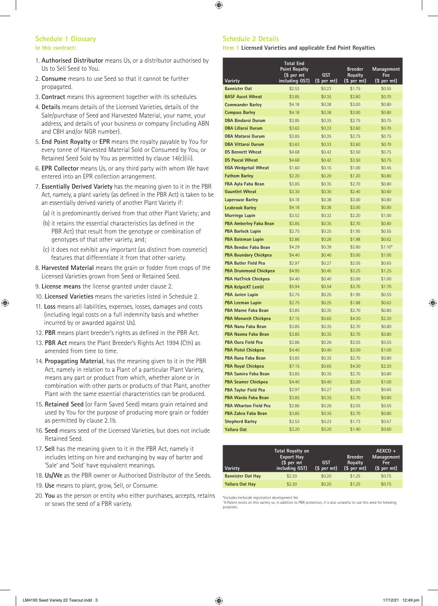#### **Schedule 1 Glossary In this contract:**

- 1. **Authorised Distributor** means Us, or a distributor authorised by Us to Sell Seed to You.
- 2. **Consume** means to use Seed so that it cannot be further propagated.
- 3. **Contract** means this agreement together with its schedules.
- 4. **Details** means details of the Licensed Varieties, details of the Sale/purchase of Seed and Harvested Material, your name, your address, and details of your business or company (including ABN and CBH and/or NGR number).
- 5. **End Point Royalty** or **EPR** means the royalty payable by You for every tonne of Harvested Material Sold or Consumed by You, or Retained Seed Sold by You as permitted by clause 14(c)(iii).
- 6. **EPR Collector** means Us, or any third party with whom We have entered into an EPR collection arrangement.
- 7. **Essentially Derived Variety** has the meaning given to it in the PBR Act, namely, a plant variety (as defined in the PBR Act) is taken to be an essentially derived variety of another Plant Variety if:
	- (a) it is predominantly derived from that other Plant Variety; and
	- (b) it retains the essential characteristics (as defined in the PBR Act) that result from the genotype or combination of genotypes of that other variety, and;
	- (c) it does not exhibit any important (as distinct from cosmetic) features that differentiate it from that other variety.
- 8. **Harvested Material** means the grain or fodder from crops of the Licensed Varieties grown from Seed or Retained Seed.
- 9. **License means** the license granted under clause 2.
- 10. **Licensed Varieties** means the varieties listed in Schedule 2.
- 11. **Loss** means all liabilities, expenses, losses, damages and costs (including legal costs on a full indemnity basis and whether incurred by or awarded against Us).
- 12. **PBR** means plant breeder's rights as defined in the PBR Act.
- 13. **PBR Act** means the Plant Breeder's Rights Act 1994 (Cth) as amended from time to time.
- 14. **Propagating Material**, has the meaning given to it in the PBR Act, namely in relation to a Plant of a particular Plant Variety, means any part or product from which, whether alone or in combination with other parts or products of that Plant, another Plant with the same essential characteristics can be produced.
- 15. **Retained Seed** (or Farm Saved Seed) means grain retained and used by You for the purpose of producing more grain or fodder as permitted by clause 2.1b.
- 16. **Seed** means seed of the Licensed Varieties, but does not include Retained Seed.
- 17. **Sell** has the meaning given to it in the PBR Act, namely it includes letting on hire and exchanging by way of barter and 'Sale' and 'Sold' have equivalent meanings.
- 18. **Us/We** as the PBR owner or Authorised Distributor of the Seeds.
- 19. **Use** means to plant, grow, Sell, or Consume.
- 20. **You** as the person or entity who either purchases, accepts, retains or sows the seed of a PBR variety.

#### **Schedule 2 Details**

**Item 1 Licensed Varieties and applicable End Point Royalties**

|                                 | <b>Total End</b><br><b>Point Royalty</b><br>(\$ per mt | <b>GST</b>            | <b>Breeder</b><br>Royalty<br>(\$ per mt) | <b>Management</b><br>Fee |
|---------------------------------|--------------------------------------------------------|-----------------------|------------------------------------------|--------------------------|
| Variety<br><b>Bannister Oat</b> | including GST)<br>\$2.53                               | (\$ per mt)<br>\$0.23 | \$1.75                                   | (\$ per mt)<br>\$0.55    |
| <b>BASF Ascot Wheat</b>         | \$3.85                                                 | \$0.35                | \$2.80                                   | \$0.70                   |
| <b>Commander Barley</b>         | \$4.18                                                 | \$0.38                | \$3.00                                   | \$0.80                   |
| <b>Compass Barley</b>           | \$4.18                                                 | \$0.38                | \$3.00                                   | \$0.80                   |
| <b>DBA Bindaroi Durum</b>       | \$3.85                                                 | \$0.35                | \$2.75                                   | \$0.75                   |
| <b>DBA Lillaroi Durum</b>       | \$3.63                                                 | \$0.33                | \$2.60                                   | \$0.70                   |
| <b>DBA Mataroi Durum</b>        | \$3.85                                                 | \$0.35                | \$2.75                                   | \$0.75                   |
| <b>DBA Vittaroi Durum</b>       | \$3.63                                                 | \$0.33                | \$2.60                                   | \$0.70                   |
| <b>DS Bennett Wheat</b>         | \$4.68                                                 | \$0.42                | \$3.50                                   | \$0.75                   |
| <b>DS Pascal Wheat</b>          | \$4.68                                                 | \$0.42                | \$3.50                                   | \$0.75                   |
| <b>EGA Wedgetail Wheat</b>      | \$1.60                                                 | \$0.15                | \$1.00                                   | \$0.45                   |
| <b>Fathom Barley</b>            | \$2.20                                                 | \$0.20                | \$1.20                                   | \$0.80                   |
| FBA Ayla Faba Bean              | \$3.85                                                 | \$0.35                | \$2.70                                   | \$0.80                   |
| <b>Gauntlet Wheat</b>           | \$3.30                                                 | \$0.30                | \$2.40                                   | \$0.60                   |
| <b>Laperouse Barley</b>         | \$4.18                                                 | \$0.38                | \$3.00                                   | \$0.80                   |
| <b>Leabrook Barley</b>          | \$4.18                                                 | \$0.38                | \$3.00                                   | \$0.80                   |
| Murringo Lupin                  | \$3.52                                                 | \$0.32                | \$2.20                                   | \$1.00                   |
| <b>PBA Amberley Faba Bean</b>   | \$3.85                                                 | \$0.35                | \$2.70                                   | \$0.80                   |
| <b>PBA Barlock Lupin</b>        | \$2.75                                                 | \$0.25                | \$1.95                                   | \$0.55                   |
| <b>PBA Bateman Lupin</b>        | \$2.86                                                 | \$0.26                | \$1.98                                   | \$0.62                   |
| <b>PBA Bendoc Faba Bean</b>     | \$4.29                                                 | \$0.39                | \$2.80                                   | $$1.10*$                 |
| <b>PBA Boundary Chickpea</b>    | \$4.40                                                 | \$0.40                | \$3.00                                   | \$1.00                   |
| <b>PBA Butler Field Pea</b>     | \$2.97                                                 | \$0.27                | \$2.05                                   | \$0.65                   |
| <b>PBA Drummond Chickpea</b>    | \$4.95                                                 | \$0.45                | \$3.25                                   | \$1.25                   |
| <b>PBA HatTrick Chickpea</b>    | \$4.40                                                 | \$0.40                | \$3.00                                   | \$1.00                   |
| <b>PBA KelpieXT Lentil</b>      | \$5.94                                                 | \$0.54                | \$3.70                                   | \$1.70                   |
| <b>PBA Jurien Lupin</b>         | \$2.75                                                 | \$0.25                | \$1.95                                   | \$0.55                   |
| <b>PBA Leeman Lupin</b>         | \$2.75                                                 | \$0.25                | \$1.88                                   | \$0.62                   |
| PBA Marne Faba Bean             | \$3.85                                                 | \$0.35                | \$2.70                                   | \$0.80                   |
| <b>PBA Monarch Chickpea</b>     | \$7.15                                                 | \$0.65                | \$4.30                                   | \$2.20                   |
| <b>PBA Nanu Faba Bean</b>       | \$3.85                                                 | \$0.35                | \$2.70                                   | \$0.80                   |
| <b>PBA Nasma Faba Bean</b>      | \$3.85                                                 | \$0.35                | \$2.70                                   | \$0.80                   |
| <b>PBA Oura Field Pea</b>       | \$2.86                                                 | \$0.26                | \$2.05                                   | \$0.55                   |
| <b>PBA Pistol Chickpea</b>      | \$4.40                                                 | \$0.40                | \$3.00                                   | \$1.00                   |
| PBA Rana Faba Bean              | \$3.85                                                 | \$0.35                | \$2.70                                   | \$0.80                   |
| <b>PBA Royal Chickpea</b>       | \$7.15                                                 | \$0.65                | \$4.30                                   | \$2.20                   |
| PBA Samira Faba Bean            | \$3.85                                                 | \$0.35                | \$2.70                                   | \$0.80                   |
| <b>PBA Seamer Chickpea</b>      | \$4.40                                                 | \$0.40                | \$3.00                                   | \$1.00                   |
| <b>PBA Taylor Field Pea</b>     | \$2.97                                                 | \$0.27                | \$2.05                                   | \$0.65                   |
| PBA Warda Faba Bean             | \$3.85                                                 | \$0.35                | \$2.70                                   | \$0.80                   |
| <b>PBA Wharton Field Pea</b>    | \$2.86                                                 | \$0.26                | \$2.05                                   | \$0.55                   |
| PBA Zahra Faba Bean             | \$3.85                                                 | \$0.35                | \$2.70                                   | \$0.80                   |
| <b>Shepherd Barley</b>          | \$2.53                                                 | \$0.23                | \$1.73                                   | \$0.57                   |
| Yallara Oat                     | \$2.20                                                 | \$0.20                | \$1.40                                   | \$0.60                   |

| Variety                  | <b>Total Royalty on</b><br><b>Export Hay</b><br>(\$ per mt<br>including GST) | GST<br>(\$ per mt) | <b>Breeder</b><br>Royalty<br>(\$ per mt) | $AEXCO +$<br>Management<br>Fee:<br>(\$ per mt) |
|--------------------------|------------------------------------------------------------------------------|--------------------|------------------------------------------|------------------------------------------------|
| <b>Bannister Oat Hay</b> | \$2.20                                                                       | \$0.20             | \$1.25                                   | \$0.75                                         |
| Yallara Oat Hay          | \$2.20                                                                       | \$0.20             | \$1.25                                   | \$0.75                                         |

\*Includes herbicide registration development fee

^A Patent exists on this variety so, in addition to PBR protection, it is also unlawful to use this seed for breeding purposes.